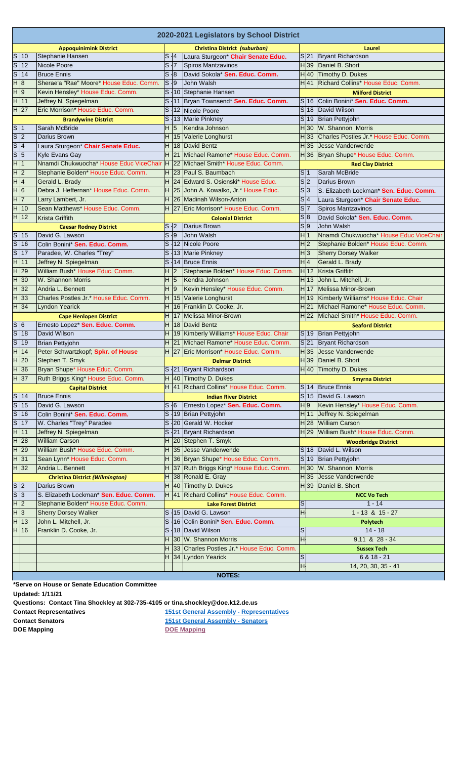| 2020-2021 Legislators by School District      |                |                                          |                 |                         |                                             |                           |                     |                                         |  |  |  |  |
|-----------------------------------------------|----------------|------------------------------------------|-----------------|-------------------------|---------------------------------------------|---------------------------|---------------------|-----------------------------------------|--|--|--|--|
|                                               |                | <b>Appoquinimink District</b>            |                 |                         | Christina District (suburban)               |                           |                     | Laurel                                  |  |  |  |  |
| $S$ 10                                        |                | Stephanie Hansen                         | S 4             |                         | Laura Sturgeon* Chair Senate Educ.          |                           | $S$  21             | Bryant Richardson                       |  |  |  |  |
| $\overline{\mathbf{s}}$                       | 12             | Nicole Poore                             | S 7             |                         | Spiros Mantzavinos                          |                           | H <sub>39</sub>     | Daniel B. Short                         |  |  |  |  |
| $\mathcal{S}$                                 | 14             | <b>Bruce Ennis</b>                       | S 8             |                         | David Sokola* Sen. Educ. Comm.              |                           | H 40                | Timothy D. Dukes                        |  |  |  |  |
| $\overline{H}$                                | 8              | Sherae'a "Rae" Moore* House Educ. Comm.  | S <sub>19</sub> |                         | John Walsh                                  |                           | H 41                | Richard Collins* House Educ. Comm.      |  |  |  |  |
| H 9                                           |                | Kevin Hensley* House Educ. Comm.         |                 |                         | S   10   Stephanie Hansen                   |                           |                     | <b>Milford District</b>                 |  |  |  |  |
| H 11                                          |                | Jeffrey N. Spiegelman                    |                 |                         | S   11   Bryan Townsend* Sen. Educ. Comm.   |                           | S 16                | Colin Bonini* Sen. Educ. Comm.          |  |  |  |  |
| H 27                                          |                | Eric Morrison* House Educ. Comm.         |                 | $S$ 12                  | Nicole Poore                                |                           | S 18                | David Wilson                            |  |  |  |  |
|                                               |                | <b>Brandywine District</b>               |                 |                         | S   13   Marie Pinkney                      |                           | $S$ <sup>19</sup>   | <b>Brian Pettyjohn</b>                  |  |  |  |  |
| S 1                                           |                | Sarah McBride                            | H 5             |                         | Kendra Johnson                              |                           | H 30                | W. Shannon Morris                       |  |  |  |  |
| $\overline{\left  \mathsf{S}\right }$ 2       |                | Darius Brown                             |                 | H 15                    | Valerie Longhurst                           |                           | H 33                | Charles Postles Jr.* House Educ. Comm.  |  |  |  |  |
| $\overline{s}$                                | $\vert 4$      | Laura Sturgeon* Chair Senate Educ.       |                 | H 18                    | David Bentz                                 |                           | H <sub>35</sub>     | Uesse Vanderwende                       |  |  |  |  |
| $\overline{s}$                                | 5              | Kyle Evans Gay                           |                 | $H$ 21                  | Michael Ramone* House Educ. Comm.           |                           | H 36                | Bryan Shupe* House Educ. Comm.          |  |  |  |  |
| $\overline{H}$                                | $\mathbf{1}$   | Nnamdi Chukwuocha* House Educ ViceChair  |                 | $H$ 22                  | Michael Smith* House Educ. Comm.            |                           |                     | <b>Red Clay District</b>                |  |  |  |  |
| H 2                                           |                | Stephanie Bolden* House Educ. Comm.      |                 | $H$ 23                  | Paul S. Baumbach                            | S 1                       |                     | Sarah McBride                           |  |  |  |  |
| H 4                                           |                | Gerald L. Brady                          |                 | H 24                    | Edward S. Osienski* House Educ.             | s 2                       |                     | Darius Brown                            |  |  |  |  |
| H 6                                           |                | Debra J. Heffernan* House Educ. Comm.    |                 | H 25                    | John A. Kowalko, Jr.* House Educ.           | S 3                       |                     | S. Elizabeth Lockman* Sen. Educ. Comm.  |  |  |  |  |
| H 7                                           |                | Larry Lambert, Jr.                       |                 |                         | H 26 Madinah Wilson-Anton                   | S 4                       |                     | Laura Sturgeon* Chair Senate Educ.      |  |  |  |  |
| H                                             | 10             | Sean Matthews* House Educ. Comm.         |                 | $H$ 27                  | Eric Morrison* House Educ. Comm.            | S 7                       |                     | Spiros Mantzavinos                      |  |  |  |  |
| H                                             | 12             | Krista Griffith                          |                 |                         | <b>Colonial District</b>                    | S 8                       |                     | David Sokola* Sen. Educ. Comm.          |  |  |  |  |
|                                               |                | <b>Caesar Rodney District</b>            | S <sub>12</sub> |                         | Darius Brown                                | S 9                       |                     | John Walsh                              |  |  |  |  |
|                                               | $S$ 15         | David G. Lawson                          | S <sub>19</sub> |                         | John Walsh                                  | H 1                       |                     | Nnamdi Chukwuocha* House Educ ViceChair |  |  |  |  |
| $\overline{s}$                                | 16             | Colin Bonini* Sen. Educ. Comm.           |                 |                         | S 12 Nicole Poore                           | H <sub>2</sub>            |                     | Stephanie Bolden* House Educ. Comm.     |  |  |  |  |
| $\overline{s}$                                | 17             | Paradee, W. Charles "Trey"               |                 |                         | S 13 Marie Pinkney                          | H 3                       |                     | <b>Sherry Dorsey Walker</b>             |  |  |  |  |
| $\overline{H}$                                | 11             | Jeffrey N. Spiegelman                    |                 |                         | S   14   Bruce Ennis                        | H 4                       |                     | Gerald L. Brady                         |  |  |  |  |
| H                                             | 29             | William Bush* House Educ. Comm.          | H 2             |                         | Stephanie Bolden* House Educ. Comm.         |                           | H 12                | Krista Griffith                         |  |  |  |  |
| $\overline{H}$                                | 30             | W. Shannon Morris                        | H 5             |                         | Kendra Johnson                              |                           | $H$ 13              | John L. Mitchell, Jr.                   |  |  |  |  |
|                                               | H 32           | Andria L. Bennett                        | H 9             |                         | Kevin Hensley* House Educ. Comm.            |                           | H <sub>17</sub>     | Melissa Minor-Brown                     |  |  |  |  |
|                                               | $H$ 33         | Charles Postles Jr.* House Educ. Comm.   |                 |                         | H 15 Valerie Longhurst                      |                           | H 19                | Kimberly Williams* House Educ. Chair    |  |  |  |  |
|                                               | $H$ 34         | Lyndon Yearick                           |                 |                         | H 16 Franklin D. Cooke, Jr.                 |                           | H <sub>21</sub>     | Michael Ramone* House Educ. Comm.       |  |  |  |  |
|                                               |                | <b>Cape Henlopen District</b>            |                 |                         | H   17   Melissa Minor-Brown                |                           |                     | H 22 Michael Smith* House Educ. Comm.   |  |  |  |  |
| S 6                                           |                | Ernesto Lopez* Sen. Educ. Comm.          |                 |                         | H   18   David Bentz                        |                           |                     | <b>Seaford District</b>                 |  |  |  |  |
| $\overline{s}$                                | 18             | David Wilson                             |                 |                         | H 19 Kimberly Williams* House Educ. Chair   |                           | $S$ <sup>19</sup>   | <b>Brian Pettyjohn</b>                  |  |  |  |  |
| $\overline{s}$                                | 19             | Brian Pettyjohn                          |                 |                         | H 21 Michael Ramone* House Educ. Comm.      |                           | $S$ 21              | Bryant Richardson                       |  |  |  |  |
| H                                             | 14             | Peter Schwartzkopf; Spkr. of House       |                 |                         | H 27 Eric Morrison* House Educ. Comm.       |                           | H 35                | Jesse Vanderwende                       |  |  |  |  |
| $H$ 20                                        |                | Stephen T. Smyk                          |                 |                         | <b>Delmar District</b>                      |                           | H 39                | Daniel B. Short                         |  |  |  |  |
| H 36                                          |                | Bryan Shupe* House Educ. Comm.           |                 |                         | S 21 Bryant Richardson                      |                           |                     | H 40 Timothy D. Dukes                   |  |  |  |  |
| $H$ 37<br>Ruth Briggs King* House Educ. Comm. |                |                                          |                 | $H$ 40 Timothy D. Dukes |                                             | <b>Smyrna District</b>    |                     |                                         |  |  |  |  |
|                                               |                | <b>Capital District</b>                  |                 |                         | H 41 Richard Collins* House Educ. Comm.     |                           | $S$ 14              | <b>Bruce Ennis</b>                      |  |  |  |  |
|                                               | S 14           | <b>Bruce Ennis</b>                       |                 |                         | <b>Indian River District</b>                |                           |                     | S 15 David G. Lawson                    |  |  |  |  |
| $\overline{\mathbf{s}}$                       | 15             | David G. Lawson                          | S 6             |                         | Ernesto Lopez* Sen. Educ. Comm.             | H 9                       |                     | Kevin Hensley* House Educ. Comm.        |  |  |  |  |
| $\mathcal{S}$                                 | 16             | Colin Bonini* Sen. Educ. Comm.           |                 |                         | S 19 Brian Pettyjohn                        |                           | $H$ 11              | Jeffrey N. Spiegelman                   |  |  |  |  |
| $\mathcal{S}$                                 | 17             | W. Charles "Trey" Paradee                |                 |                         | S 20 Gerald W. Hocker                       |                           | H 28                | <b>William Carson</b>                   |  |  |  |  |
| H                                             | 11             | Jeffrey N. Spiegelman                    |                 |                         | S 21 Bryant Richardson                      |                           | H <sub>29</sub>     | William Bush* House Educ. Comm.         |  |  |  |  |
| H                                             | 28             | <b>William Carson</b>                    |                 |                         | $H$ 20 Stephen T. Smyk                      |                           |                     | <b>Woodbridge District</b>              |  |  |  |  |
| $\overline{H}$                                | 29             | William Bush* House Educ. Comm.          |                 |                         | $H$ 35 Jesse Vanderwende                    |                           |                     | S 18   David L. Wilson                  |  |  |  |  |
| H                                             | 31             | Sean Lynn <sup>*</sup> House Educ. Comm. |                 |                         | H 36 Bryan Shupe* House Educ. Comm.         |                           | $S$ <sup>19</sup>   | Brian Pettyjohn                         |  |  |  |  |
|                                               | H 32           | Andria L. Bennett                        |                 |                         | H 37 Ruth Briggs King* House Educ. Comm.    |                           | H 30                | W. Shannon Morris                       |  |  |  |  |
|                                               |                | <b>Christina District (Wilmington)</b>   |                 |                         | $H$ 38 Ronald E. Gray                       |                           | H 35                | Jesse Vanderwende                       |  |  |  |  |
| S 2                                           |                | Darius Brown                             |                 |                         | $H$ 40 Timothy D. Dukes                     |                           | H 39                | Daniel B. Short                         |  |  |  |  |
| $\overline{s}$                                | $\overline{3}$ | S. Elizabeth Lockman* Sen. Educ. Comm.   |                 |                         | H  41   Richard Collins* House Educ. Comm.  |                           |                     | <b>NCC Vo Tech</b>                      |  |  |  |  |
| $\overline{H}$                                | 2              | Stephanie Bolden* House Educ. Comm.      |                 |                         | <b>Lake Forest District</b>                 | $\ensuremath{\mathsf{S}}$ |                     | $1 - 14$                                |  |  |  |  |
| H3                                            |                | <b>Sherry Dorsey Walker</b>              |                 |                         | S 15 David G. Lawson                        | H                         |                     | $1 - 13$ & $15 - 27$                    |  |  |  |  |
| H 13                                          |                | John L. Mitchell, Jr.                    |                 |                         | S 16 Colin Bonini* Sen. Educ. Comm.         |                           |                     | Polytech                                |  |  |  |  |
|                                               | H 16           | Franklin D. Cooke, Jr.                   |                 |                         | S 18 David Wilson                           | S                         |                     | $14 - 18$                               |  |  |  |  |
|                                               |                |                                          |                 |                         | H 30 W. Shannon Morris                      | H                         |                     | 9,11 & 28 - 34                          |  |  |  |  |
|                                               |                |                                          |                 |                         | H 33 Charles Postles Jr.* House Educ. Comm. |                           |                     | <b>Sussex Tech</b>                      |  |  |  |  |
|                                               |                |                                          |                 |                         | H 34 Lyndon Yearick                         | S                         |                     | $6 & 18 - 21$                           |  |  |  |  |
|                                               |                |                                          |                 |                         |                                             | H                         | 14, 20, 30, 35 - 41 |                                         |  |  |  |  |
|                                               |                |                                          |                 |                         | <b>NOTES:</b>                               |                           |                     |                                         |  |  |  |  |

**\*Serve on House or Senate Education Committee**

**Updated: 1/11/21**

**Questions: Contact Tina Shockley at 302-735-4105 or tina.shockley@doe.k12.de.us** 

**Contact Representatives**<br> **Contact Senators**<br> **151st General Assembly - Senators**<br> **151st General Assembly - Senators [151st General Assembly - Senators](https://legis.delaware.gov/Chambers/Senate/AssemblyMembers) DOE Mapping [DOE Mapping](https://arcgis.doe.k12.de.us/school_locator/)**